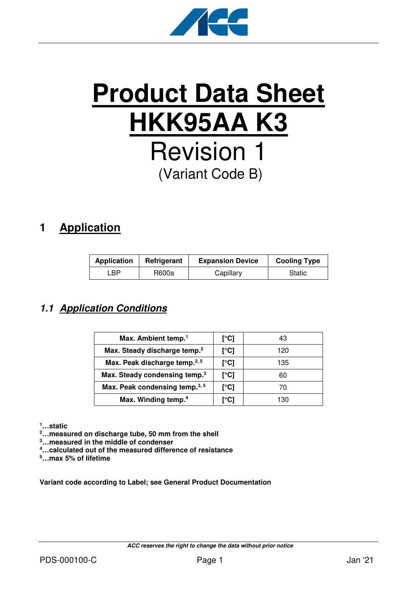

# **Product Data Sheet HKK95AA K3** Revision 1 (Variant Code B)

# **1 Application**

| <b>Application</b> | Refrigerant | <b>Expansion Device</b> | <b>Cooling Type</b> |
|--------------------|-------------|-------------------------|---------------------|
| ∟BP.               | R600a       | Capillary               | Static              |

## **1.1 Application Conditions**

| Max. Ambient temp. <sup>1</sup>           | [°C] | 43  |
|-------------------------------------------|------|-----|
| Max. Steady discharge temp. <sup>2</sup>  | [°C] | 120 |
| Max. Peak discharge temp. <sup>2, 5</sup> | [°C] | 135 |
| Max. Steady condensing temp. <sup>3</sup> | [°C] | 60  |
| Max. Peak condensing temp. <sup>3,5</sup> | [°C] | 70  |
| Max. Winding temp. <sup>4</sup>           | r°C1 | 130 |

**<sup>1</sup>…static** 

**<sup>2</sup>…measured on discharge tube, 50 mm from the shell** 

**<sup>3</sup>…measured in the middle of condenser** 

**<sup>4</sup>…calculated out of the measured difference of resistance** 

**<sup>5</sup>…max 5% of lifetime** 

**Variant code according to Label; see General Product Documentation**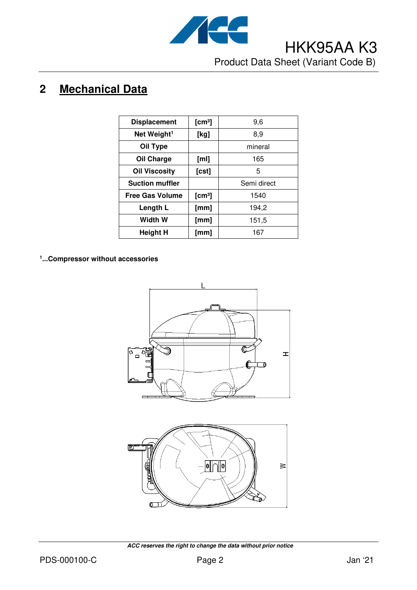

# **2 Mechanical Data**

| <b>Displacement</b>     | [cm <sup>3</sup> ] | 9,6         |
|-------------------------|--------------------|-------------|
| Net Weight <sup>1</sup> | [kg]               | 8,9         |
| Oil Type                |                    | mineral     |
| Oil Charge              | [ml]               | 165         |
| <b>Oil Viscosity</b>    | [cst]              | 5           |
| <b>Suction muffler</b>  |                    | Semi direct |
| <b>Free Gas Volume</b>  | [cm <sup>3</sup> ] | 1540        |
| Length L                | [mm]               | 194,2       |
| <b>Width W</b>          | [mm]               | 151,5       |
| Height H                | [mm]               | 167         |

#### **1 ...Compressor without accessories**





 **ACC reserves the right to change the data without prior notice**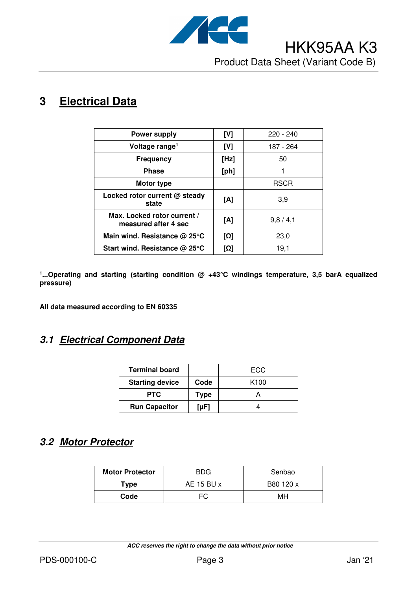

# **3 Electrical Data**

| <b>Power supply</b>                                 | [V]  | $220 - 240$ |
|-----------------------------------------------------|------|-------------|
| Voltage range <sup>1</sup>                          | [V]  | 187 - 264   |
| <b>Frequency</b>                                    | [Hz] | 50          |
| <b>Phase</b>                                        | [ph] |             |
| Motor type                                          |      | <b>RSCR</b> |
| Locked rotor current @ steady<br>state              | [A]  | 3,9         |
| Max. Locked rotor current /<br>measured after 4 sec | [A]  | 9,8/4,1     |
| Main wind. Resistance @ 25°C                        | [Ω]  | 23,0        |
| Start wind. Resistance $@$ 25 $°C$                  | וΩן  | 19.1        |

<sup>1</sup>...Operating and starting (starting condition @ +43°C windings temperature, 3,5 barA equalized **pressure)** 

**All data measured according to EN 60335** 

#### **3.1 Electrical Component Data**

| <b>Terminal board</b>  |           | ECC.             |
|------------------------|-----------|------------------|
| <b>Starting device</b> | Code      | K <sub>100</sub> |
| <b>PTC</b>             | Type      |                  |
| <b>Run Capacitor</b>   | $[\mu F]$ |                  |

### **3.2 Motor Protector**

| <b>Motor Protector</b> | <b>BDG</b> | Senbao    |
|------------------------|------------|-----------|
| Type                   | AE 15 BU x | B80 120 x |
| Code                   | FC.        | мн        |

 **ACC reserves the right to change the data without prior notice**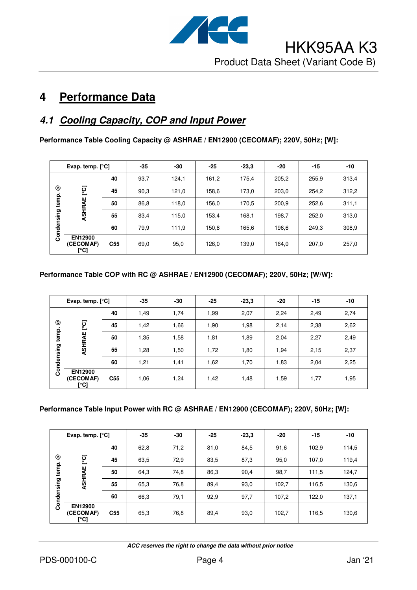

# **4 Performance Data**

## **4.1 Cooling Capacity, COP and Input Power**

**Performance Table Cooling Capacity @ ASHRAE / EN12900 (CECOMAF); 220V, 50Hz; [W]:** 

|            | Evap. temp. $[°C]$           |                 | $-35$ | -30   | $-25$ | $-23.3$ | $-20$ | $-15$ | $-10$ |
|------------|------------------------------|-----------------|-------|-------|-------|---------|-------|-------|-------|
|            | 40                           |                 | 93,7  | 124,1 | 161,2 | 175,4   | 205,2 | 255,9 | 313,4 |
| ල          | ုတ္                          | 45              | 90,3  | 121,0 | 158,6 | 173,0   | 203,0 | 254,2 | 312,2 |
| temp.      | ASHRAE                       | 50              | 86,8  | 118,0 | 156,0 | 170,5   | 200,9 | 252,6 | 311.1 |
|            |                              | 55              | 83,4  | 115,0 | 153,4 | 168,1   | 198,7 | 252,0 | 313,0 |
| Condensing |                              | 60              | 79,9  | 111,9 | 150,8 | 165,6   | 196,6 | 249,3 | 308,9 |
|            | EN12900<br>(CECOMAF)<br>[°C] | C <sub>55</sub> | 69,0  | 95,0  | 126,0 | 139,0   | 164,0 | 207,0 | 257,0 |

#### **Performance Table COP with RC @ ASHRAE / EN12900 (CECOMAF); 220V, 50Hz; [W/W]:**

| Evap. temp. $[°C]$ |                                     | $-35$           | $-30$ | $-25$ | $-23,3$ | $-20$ | $-15$ | $-10$ |      |
|--------------------|-------------------------------------|-----------------|-------|-------|---------|-------|-------|-------|------|
|                    |                                     | 40              | 1,49  | 1,74  | 1,99    | 2,07  | 2,24  | 2,49  | 2,74 |
| ☺                  | ုတ္                                 | 45              | 1,42  | 1,66  | 1,90    | 1,98  | 2,14  | 2,38  | 2,62 |
| temp.              | ASHRAE                              | 50              | 1,35  | 1,58  | 1,81    | 1,89  | 2,04  | 2,27  | 2,49 |
|                    |                                     | 55              | 1,28  | 1,50  | 1,72    | 1,80  | 1,94  | 2,15  | 2,37 |
| Condensing         |                                     | 60              | 1,21  | 1,41  | 1,62    | 1,70  | 1,83  | 2,04  | 2,25 |
|                    | <b>EN12900</b><br>(CECOMAF)<br>[°C] | C <sub>55</sub> | 1,06  | 1,24  | 1,42    | 1,48  | 1,59  | 1,77  | 1,95 |

#### **Performance Table Input Power with RC @ ASHRAE / EN12900 (CECOMAF); 220V, 50Hz; [W]:**

| Evap. temp. $[°C]$ |                                     | $-35$           | -30  | $-25$ | $-23,3$ | -20  | $-15$ | $-10$ |       |
|--------------------|-------------------------------------|-----------------|------|-------|---------|------|-------|-------|-------|
|                    |                                     | 40              | 62,8 | 71,2  | 81,0    | 84,5 | 91,6  | 102,9 | 114,5 |
| ☺                  | ုတ္                                 | 45              | 63,5 | 72,9  | 83,5    | 87,3 | 95,0  | 107,0 | 119,4 |
| temp.              | ASHRAE                              | 50              | 64,3 | 74,8  | 86,3    | 90,4 | 98,7  | 111,5 | 124,7 |
|                    |                                     | 55              | 65,3 | 76,8  | 89,4    | 93,0 | 102,7 | 116,5 | 130,6 |
| Condensing         |                                     | 60              | 66,3 | 79.1  | 92,9    | 97,7 | 107,2 | 122,0 | 137,1 |
|                    | <b>EN12900</b><br>(CECOMAF)<br>[°C] | C <sub>55</sub> | 65,3 | 76,8  | 89,4    | 93,0 | 102,7 | 116,5 | 130,6 |